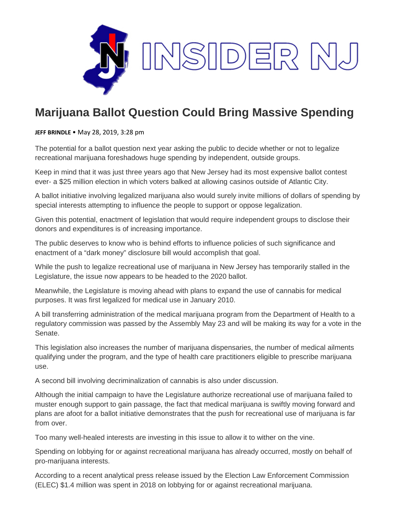

## **Marijuana Ballot Question Could Bring Massive Spending**

**JEFF BRINDLE** • May 28, 2019, 3:28 pm

The potential for a ballot question next year asking the public to decide whether or not to legalize recreational marijuana foreshadows huge spending by independent, outside groups.

Keep in mind that it was just three years ago that New Jersey had its most expensive ballot contest ever- a \$25 million election in which voters balked at allowing casinos outside of Atlantic City.

A ballot initiative involving legalized marijuana also would surely invite millions of dollars of spending by special interests attempting to influence the people to support or oppose legalization.

Given this potential, enactment of legislation that would require independent groups to disclose their donors and expenditures is of increasing importance.

The public deserves to know who is behind efforts to influence policies of such significance and enactment of a "dark money" disclosure bill would accomplish that goal.

While the push to legalize recreational use of marijuana in New Jersey has temporarily stalled in the Legislature, the issue now appears to be headed to the 2020 ballot.

Meanwhile, the Legislature is moving ahead with plans to expand the use of cannabis for medical purposes. It was first legalized for medical use in January 2010.

A bill transferring administration of the medical marijuana program from the Department of Health to a regulatory commission was passed by the Assembly May 23 and will be making its way for a vote in the Senate.

This legislation also increases the number of marijuana dispensaries, the number of medical ailments qualifying under the program, and the type of health care practitioners eligible to prescribe marijuana use.

A second bill involving decriminalization of cannabis is also under discussion.

Although the initial campaign to have the Legislature authorize recreational use of marijuana failed to muster enough support to gain passage, the fact that medical marijuana is swiftly moving forward and plans are afoot for a ballot initiative demonstrates that the push for recreational use of marijuana is far from over.

Too many well-healed interests are investing in this issue to allow it to wither on the vine.

Spending on lobbying for or against recreational marijuana has already occurred, mostly on behalf of pro-marijuana interests.

According to a recent analytical press release issued by the Election Law Enforcement Commission (ELEC) \$1.4 million was spent in 2018 on lobbying for or against recreational marijuana.